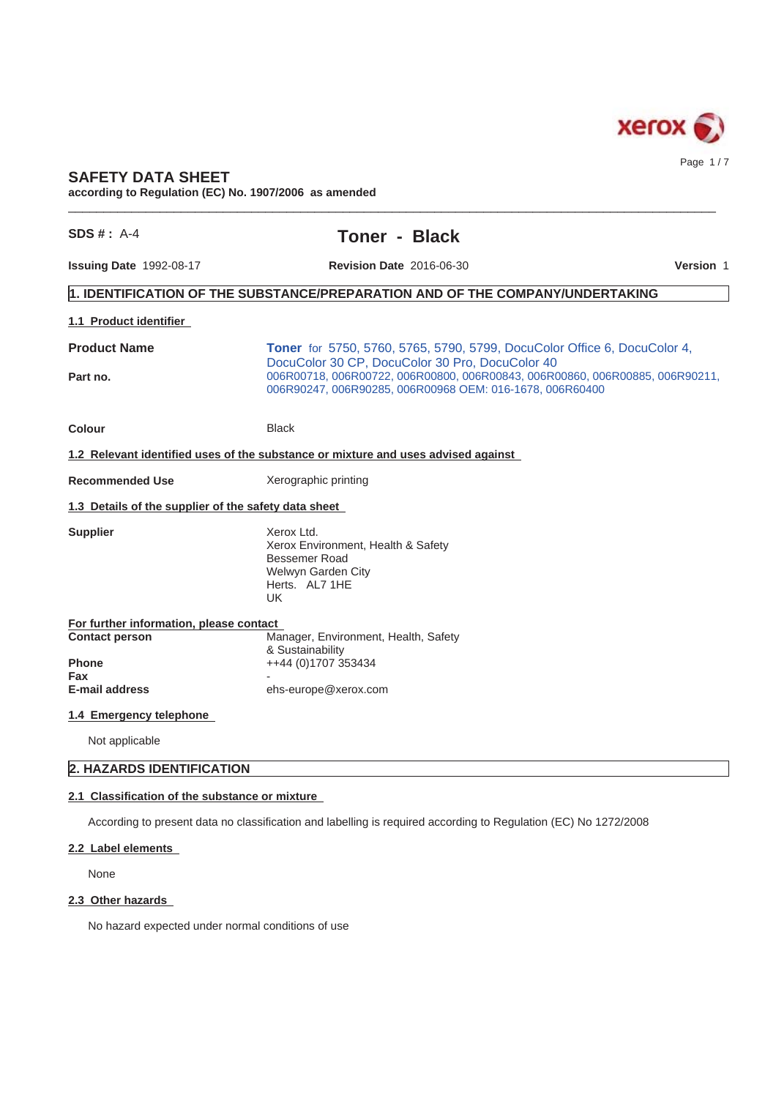

## **SAFETY DATA SHEET**

**according to Regulation (EC) No. 1907/2006 as amended**

**SDS # :** A-4 **Toner - Black**

| <b>Issuing Date 1992-08-17</b>                       | <b>Revision Date 2016-06-30</b>                                                                                                                                                       | Version 1 |
|------------------------------------------------------|---------------------------------------------------------------------------------------------------------------------------------------------------------------------------------------|-----------|
|                                                      | 1. IDENTIFICATION OF THE SUBSTANCE/PREPARATION AND OF THE COMPANY/UNDERTAKING                                                                                                         |           |
| 1.1 Product identifier                               |                                                                                                                                                                                       |           |
| <b>Product Name</b>                                  | <b>Toner</b> for 5750, 5760, 5765, 5790, 5799, DocuColor Office 6, DocuColor 4,                                                                                                       |           |
| Part no.                                             | DocuColor 30 CP, DocuColor 30 Pro, DocuColor 40<br>006R00718,006R00722,006R00800,006R00843,006R00860,006R00885,006R90211,<br>006R90247, 006R90285, 006R00968 OEM: 016-1678, 006R60400 |           |
| Colour                                               | <b>Black</b>                                                                                                                                                                          |           |
|                                                      | 1.2 Relevant identified uses of the substance or mixture and uses advised against                                                                                                     |           |
| <b>Recommended Use</b>                               | Xerographic printing                                                                                                                                                                  |           |
| 1.3 Details of the supplier of the safety data sheet |                                                                                                                                                                                       |           |
| <b>Supplier</b>                                      | Xerox I td.<br>Xerox Environment, Health & Safety<br>Bessemer Road<br>Welwyn Garden City<br>Herts. AL7 1HE<br>UK                                                                      |           |

 $\_$  ,  $\_$  ,  $\_$  ,  $\_$  ,  $\_$  ,  $\_$  ,  $\_$  ,  $\_$  ,  $\_$  ,  $\_$  ,  $\_$  ,  $\_$  ,  $\_$  ,  $\_$  ,  $\_$  ,  $\_$  ,  $\_$  ,  $\_$  ,  $\_$  ,  $\_$  ,  $\_$  ,  $\_$  ,  $\_$  ,  $\_$  ,  $\_$  ,  $\_$  ,  $\_$  ,  $\_$  ,  $\_$  ,  $\_$  ,  $\_$  ,  $\_$  ,  $\_$  ,  $\_$  ,  $\_$  ,  $\_$  ,  $\_$  ,

#### **For further information, please contact Contact person** Manager, Environment, Health, Safety & Sustainability **Phone**  $++44 (0)1707 353434$

**Fax**<br>**E-mail address E-mail address** ehs-europe@xerox.com

#### **1.4 Emergency telephone**

Not applicable

### **2. HAZARDS IDENTIFICATION**

#### **2.1 Classification of the substance or mixture**

According to present data no classification and labelling is required according to Regulation (EC) No 1272/2008

#### **2.2 Label elements**

None

#### **2.3 Other hazards**

No hazard expected under normal conditions of use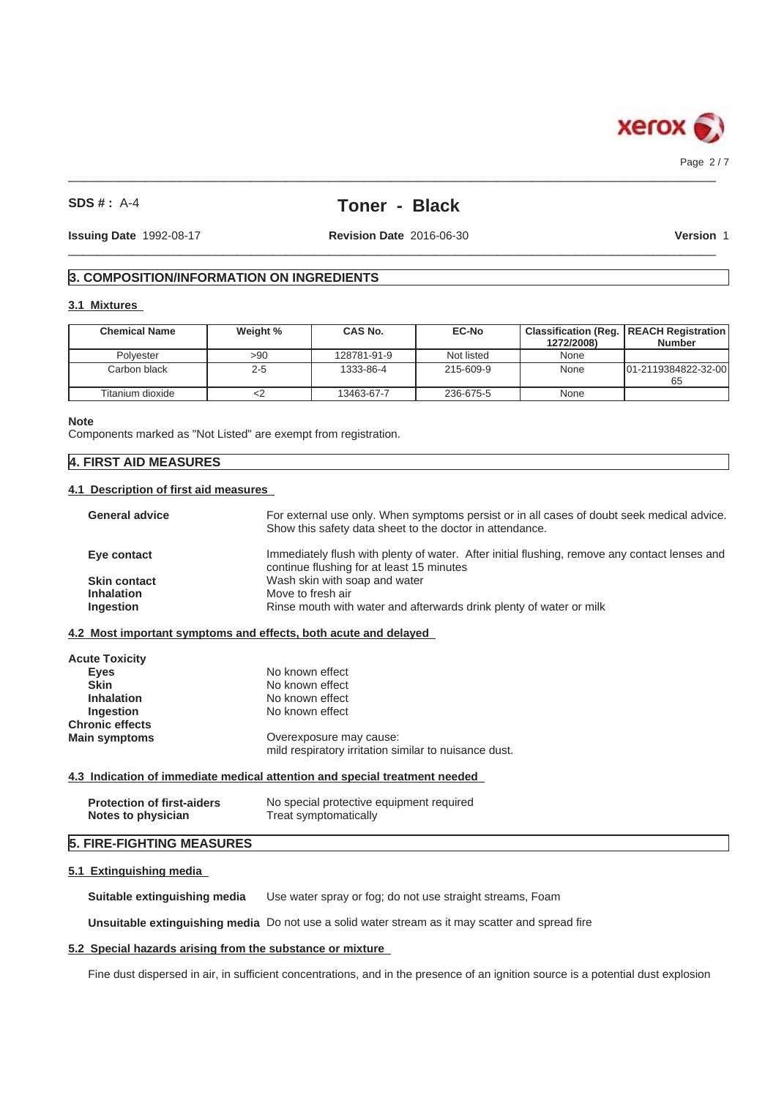

Page 2 / 7

## **SDS # :** A-4 **Toner - Black**

 $\_$  ,  $\_$  ,  $\_$  ,  $\_$  ,  $\_$  ,  $\_$  ,  $\_$  ,  $\_$  ,  $\_$  ,  $\_$  ,  $\_$  ,  $\_$  ,  $\_$  ,  $\_$  ,  $\_$  ,  $\_$  ,  $\_$  ,  $\_$  ,  $\_$  ,  $\_$  ,  $\_$  ,  $\_$  ,  $\_$  ,  $\_$  ,  $\_$  ,  $\_$  ,  $\_$  ,  $\_$  ,  $\_$  ,  $\_$  ,  $\_$  ,  $\_$  ,  $\_$  ,  $\_$  ,  $\_$  ,  $\_$  ,  $\_$  ,

**Issuing Date** 1992-08-17 **Revision Date** 2016-06-30 **Version** 1

 $\_$  ,  $\_$  ,  $\_$  ,  $\_$  ,  $\_$  ,  $\_$  ,  $\_$  ,  $\_$  ,  $\_$  ,  $\_$  ,  $\_$  ,  $\_$  ,  $\_$  ,  $\_$  ,  $\_$  ,  $\_$  ,  $\_$  ,  $\_$  ,  $\_$  ,  $\_$  ,  $\_$  ,  $\_$  ,  $\_$  ,  $\_$  ,  $\_$  ,  $\_$  ,  $\_$  ,  $\_$  ,  $\_$  ,  $\_$  ,  $\_$  ,  $\_$  ,  $\_$  ,  $\_$  ,  $\_$  ,  $\_$  ,  $\_$  ,

#### **3. COMPOSITION/INFORMATION ON INGREDIENTS**

#### **3.1 Mixtures**

| <b>Chemical Name</b> | Weight % | CAS No.     | <b>EC-No</b> | 1272/2008) | <b>Classification (Reg.   REACH Registration)</b><br><b>Number</b> |
|----------------------|----------|-------------|--------------|------------|--------------------------------------------------------------------|
| Polvester            | >90      | 128781-91-9 | Not listed   | None       |                                                                    |
| Carbon black         | $2 - 5$  | 1333-86-4   | 215-609-9    | None       | 101-2119384822-32-00<br>65                                         |
| Titanium dioxide     |          | 13463-67-7  | 236-675-5    | None       |                                                                    |

**Note**

Components marked as "Not Listed" are exempt from registration.

#### **4. FIRST AID MEASURES**

#### **4.1 Description of first aid measures**

| <b>General advice</b>                                 | For external use only. When symptoms persist or in all cases of doubt seek medical advice.<br>Show this safety data sheet to the doctor in attendance. |
|-------------------------------------------------------|--------------------------------------------------------------------------------------------------------------------------------------------------------|
| Eye contact                                           | Immediately flush with plenty of water. After initial flushing, remove any contact lenses and<br>continue flushing for at least 15 minutes             |
| <b>Skin contact</b><br><b>Inhalation</b><br>Ingestion | Wash skin with soap and water<br>Move to fresh air<br>Rinse mouth with water and afterwards drink plenty of water or milk                              |

#### **4.2 Most important symptoms and effects, both acute and delayed**

| <b>Acute Toxicity</b>  |                                                                                  |
|------------------------|----------------------------------------------------------------------------------|
| Eyes                   | No known effect                                                                  |
| <b>Skin</b>            | No known effect                                                                  |
| <b>Inhalation</b>      | No known effect                                                                  |
| Ingestion              | No known effect                                                                  |
| <b>Chronic effects</b> |                                                                                  |
| <b>Main symptoms</b>   | Overexposure may cause:<br>mild respiratory irritation similar to nuisance dust. |

#### **4.3 Indication of immediate medical attention and special treatment needed**

| <b>Protection of first-aiders</b> | No special protective equipment required |
|-----------------------------------|------------------------------------------|
| Notes to physician                | Treat symptomatically                    |

### **5. FIRE-FIGHTING MEASURES**

#### **5.1 Extinguishing media**

**Suitable extinguishing media** Use water spray or fog; do not use straight streams, Foam

**Unsuitable extinguishing media** Do not use a solid water stream as it may scatter and spread fire

#### **5.2 Special hazards arising from the substance or mixture**

Fine dust dispersed in air, in sufficient concentrations, and in the presence of an ignition source is a potential dust explosion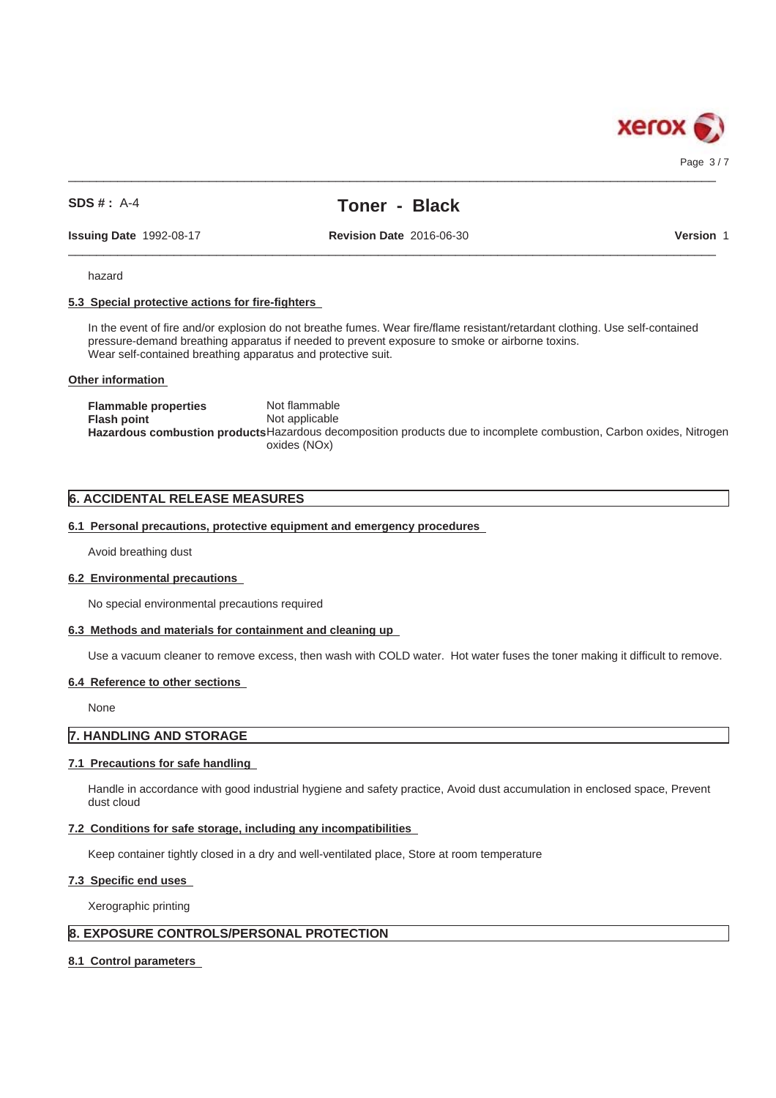

Page 3/7

## **SDS # :** A-4 **Toner - Black**

 $\_$  ,  $\_$  ,  $\_$  ,  $\_$  ,  $\_$  ,  $\_$  ,  $\_$  ,  $\_$  ,  $\_$  ,  $\_$  ,  $\_$  ,  $\_$  ,  $\_$  ,  $\_$  ,  $\_$  ,  $\_$  ,  $\_$  ,  $\_$  ,  $\_$  ,  $\_$  ,  $\_$  ,  $\_$  ,  $\_$  ,  $\_$  ,  $\_$  ,  $\_$  ,  $\_$  ,  $\_$  ,  $\_$  ,  $\_$  ,  $\_$  ,  $\_$  ,  $\_$  ,  $\_$  ,  $\_$  ,  $\_$  ,  $\_$  ,

**Issuing Date** 1992-08-17 **Revision Date** 2016-06-30 **Version** 1

 $\_$  ,  $\_$  ,  $\_$  ,  $\_$  ,  $\_$  ,  $\_$  ,  $\_$  ,  $\_$  ,  $\_$  ,  $\_$  ,  $\_$  ,  $\_$  ,  $\_$  ,  $\_$  ,  $\_$  ,  $\_$  ,  $\_$  ,  $\_$  ,  $\_$  ,  $\_$  ,  $\_$  ,  $\_$  ,  $\_$  ,  $\_$  ,  $\_$  ,  $\_$  ,  $\_$  ,  $\_$  ,  $\_$  ,  $\_$  ,  $\_$  ,  $\_$  ,  $\_$  ,  $\_$  ,  $\_$  ,  $\_$  ,  $\_$  ,

hazard

#### **5.3 Special protective actions for fire-fighters**

In the event of fire and/or explosion do not breathe fumes. Wear fire/flame resistant/retardant clothing. Use self-contained pressure-demand breathing apparatus if needed to prevent exposure to smoke or airborne toxins. Wear self-contained breathing apparatus and protective suit.

#### **Other information**

**Flammable properties** Not flammable **Flash point** Not applicable **Hazardous combustion products**Hazardous decomposition products due to incomplete combustion, Carbon oxides, Nitrogen oxides (NOx)

#### **6. ACCIDENTAL RELEASE MEASURES**

#### **6.1 Personal precautions, protective equipment and emergency procedures**

Avoid breathing dust

#### **6.2 Environmental precautions**

No special environmental precautions required

#### **6.3 Methods and materials for containment and cleaning up**

Use a vacuum cleaner to remove excess, then wash with COLD water. Hot water fuses the toner making it difficult to remove.

#### **6.4 Reference to other sections**

None

## **7. HANDLING AND STORAGE**

#### **7.1 Precautions for safe handling**

Handle in accordance with good industrial hygiene and safety practice, Avoid dust accumulation in enclosed space, Prevent dust cloud

#### **7.2 Conditions for safe storage, including any incompatibilities**

Keep container tightly closed in a dry and well-ventilated place, Store at room temperature

#### **7.3 Specific end uses**

Xerographic printing

### **8. EXPOSURE CONTROLS/PERSONAL PROTECTION**

#### **8.1 Control parameters**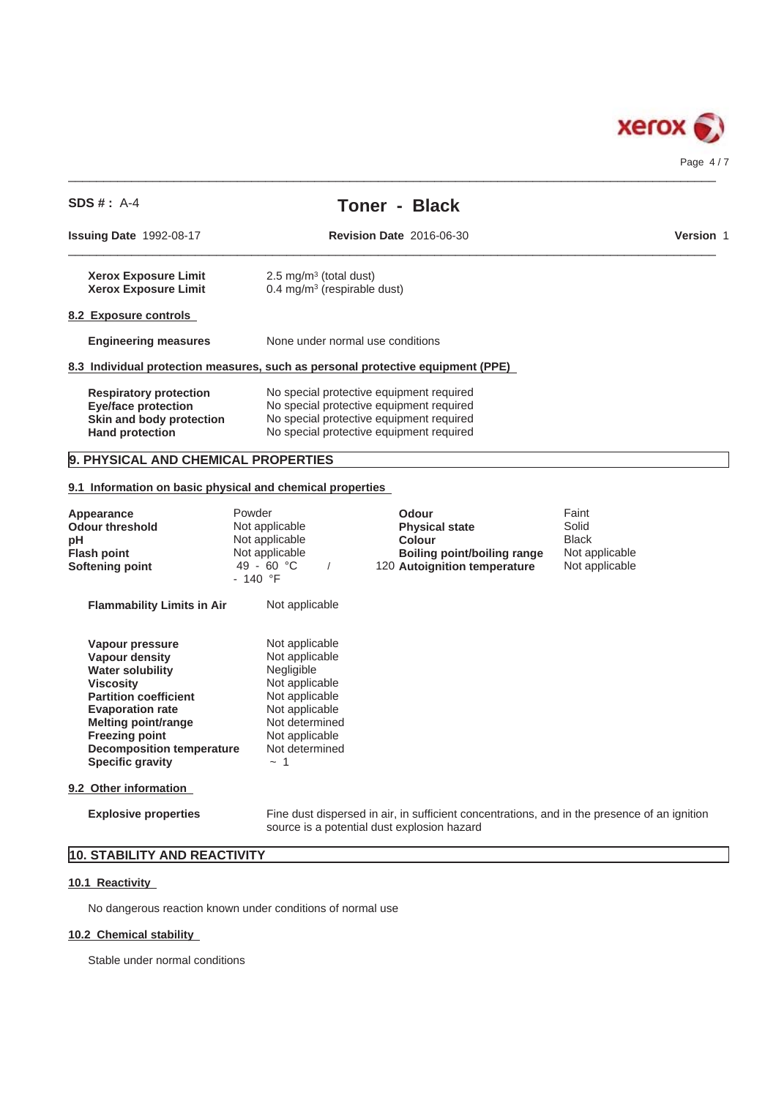

 $\_$  ,  $\_$  ,  $\_$  ,  $\_$  ,  $\_$  ,  $\_$  ,  $\_$  ,  $\_$  ,  $\_$  ,  $\_$  ,  $\_$  ,  $\_$  ,  $\_$  ,  $\_$  ,  $\_$  ,  $\_$  ,  $\_$  ,  $\_$  ,  $\_$  ,  $\_$  ,  $\_$  ,  $\_$  ,  $\_$  ,  $\_$  ,  $\_$  ,  $\_$  ,  $\_$  ,  $\_$  ,  $\_$  ,  $\_$  ,  $\_$  ,  $\_$  ,  $\_$  ,  $\_$  ,  $\_$  ,  $\_$  ,  $\_$  , **SDS # :** A-4 **Toner - Black Issuing Date** 1992-08-17 **Revision Date** 2016-06-30 **Version** 1 **Xerox Exposure Limit** 2.5 mg/m3 (total dust) **Xerox Exposure Limit** 0.4 mg/m<sup>3</sup> (respirable dust) **8.2 Exposure controls Engineering measures** None under normal use conditions **8.3 Individual protection measures, such as personal protective equipment (PPE) Respiratory protection** No special protective equipment required<br> **Eye/face protection** No special protective equipment required **Eye/face protection**<br> **Skin and body protection**<br>
No special protective equipment required<br>
No special protective equipment required

**Hand protection** No special protective equipment required

 $\_$  ,  $\_$  ,  $\_$  ,  $\_$  ,  $\_$  ,  $\_$  ,  $\_$  ,  $\_$  ,  $\_$  ,  $\_$  ,  $\_$  ,  $\_$  ,  $\_$  ,  $\_$  ,  $\_$  ,  $\_$  ,  $\_$  ,  $\_$  ,  $\_$  ,  $\_$  ,  $\_$  ,  $\_$  ,  $\_$  ,  $\_$  ,  $\_$  ,  $\_$  ,  $\_$  ,  $\_$  ,  $\_$  ,  $\_$  ,  $\_$  ,  $\_$  ,  $\_$  ,  $\_$  ,  $\_$  ,  $\_$  ,  $\_$  ,

### **9. PHYSICAL AND CHEMICAL PROPERTIES**

#### **9.1 Information on basic physical and chemical properties**

**Skin and body protection** No special protective equipment required<br>
No special protective equipment required

| <b>Appearance</b><br><b>Odour threshold</b><br>рH<br><b>Flash point</b><br>Softening point                                                                                                                                                                 | Powder<br>Not applicable<br>Not applicable<br>Not applicable<br>49 - 60 °C<br>$-140$ °F                                                                                | Odour<br><b>Physical state</b><br><b>Colour</b><br>Boiling point/boiling range<br>120 Autoignition temperature | Faint<br>Solid<br><b>Black</b><br>Not applicable<br>Not applicable |
|------------------------------------------------------------------------------------------------------------------------------------------------------------------------------------------------------------------------------------------------------------|------------------------------------------------------------------------------------------------------------------------------------------------------------------------|----------------------------------------------------------------------------------------------------------------|--------------------------------------------------------------------|
| <b>Flammability Limits in Air</b>                                                                                                                                                                                                                          | Not applicable                                                                                                                                                         |                                                                                                                |                                                                    |
| Vapour pressure<br>Vapour density<br><b>Water solubility</b><br><b>Viscosity</b><br><b>Partition coefficient</b><br><b>Evaporation rate</b><br>Melting point/range<br><b>Freezing point</b><br><b>Decomposition temperature</b><br><b>Specific gravity</b> | Not applicable<br>Not applicable<br>Negligible<br>Not applicable<br>Not applicable<br>Not applicable<br>Not determined<br>Not applicable<br>Not determined<br>$\sim$ 1 |                                                                                                                |                                                                    |
| 9.2 Other information                                                                                                                                                                                                                                      |                                                                                                                                                                        |                                                                                                                |                                                                    |
| <b>Explosive properties</b>                                                                                                                                                                                                                                | Fine dust dispersed in air, in sufficient concentrations, and in the presence of an ignition<br>source is a potential dust explosion hazard                            |                                                                                                                |                                                                    |

### **10. STABILITY AND REACTIVITY**

#### **10.1 Reactivity**

No dangerous reaction known under conditions of normal use

#### **10.2 Chemical stability**

Stable under normal conditions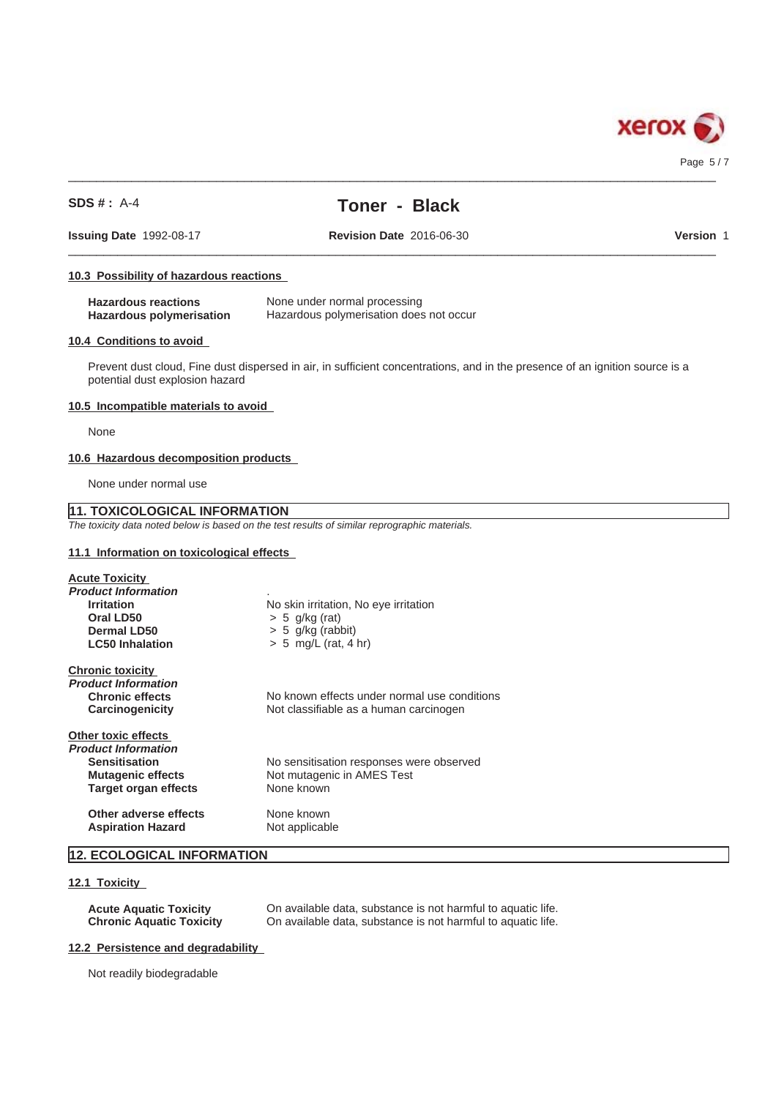

Page 5 / 7

## **SDS # :** A-4 **Toner - Black**

 $\_$  ,  $\_$  ,  $\_$  ,  $\_$  ,  $\_$  ,  $\_$  ,  $\_$  ,  $\_$  ,  $\_$  ,  $\_$  ,  $\_$  ,  $\_$  ,  $\_$  ,  $\_$  ,  $\_$  ,  $\_$  ,  $\_$  ,  $\_$  ,  $\_$  ,  $\_$  ,  $\_$  ,  $\_$  ,  $\_$  ,  $\_$  ,  $\_$  ,  $\_$  ,  $\_$  ,  $\_$  ,  $\_$  ,  $\_$  ,  $\_$  ,  $\_$  ,  $\_$  ,  $\_$  ,  $\_$  ,  $\_$  ,  $\_$  ,

 $\_$  ,  $\_$  ,  $\_$  ,  $\_$  ,  $\_$  ,  $\_$  ,  $\_$  ,  $\_$  ,  $\_$  ,  $\_$  ,  $\_$  ,  $\_$  ,  $\_$  ,  $\_$  ,  $\_$  ,  $\_$  ,  $\_$  ,  $\_$  ,  $\_$  ,  $\_$  ,  $\_$  ,  $\_$  ,  $\_$  ,  $\_$  ,  $\_$  ,  $\_$  ,  $\_$  ,  $\_$  ,  $\_$  ,  $\_$  ,  $\_$  ,  $\_$  ,  $\_$  ,  $\_$  ,  $\_$  ,  $\_$  ,  $\_$  , **Issuing Date** 1992-08-17 **Revision Date** 2016-06-30 **Version** 1

#### **10.3 Possibility of hazardous reactions**

| <b>Hazardous reactions</b>      | None under normal processing            |
|---------------------------------|-----------------------------------------|
| <b>Hazardous polymerisation</b> | Hazardous polymerisation does not occur |

#### **10.4 Conditions to avoid**

Prevent dust cloud, Fine dust dispersed in air, in sufficient concentrations, and in the presence of an ignition source is a potential dust explosion hazard

#### **10.5 Incompatible materials to avoid**

None

#### **10.6 Hazardous decomposition products**

None under normal use

#### **11. TOXICOLOGICAL INFORMATION**

*The toxicity data noted below is based on the test results of similar reprographic materials.*

#### **11.1 Information on toxicological effects**

| <b>Acute Toxicity</b><br><b>Product Information</b> |                                              |
|-----------------------------------------------------|----------------------------------------------|
| <b>Irritation</b>                                   | No skin irritation, No eye irritation        |
| Oral LD50                                           | $> 5$ g/kg (rat)                             |
| Dermal LD50                                         | $> 5$ g/kg (rabbit)                          |
| <b>LC50 Inhalation</b>                              | $> 5$ mg/L (rat, 4 hr)                       |
| <b>Chronic toxicity</b>                             |                                              |
| <b>Product Information</b>                          |                                              |
| <b>Chronic effects</b>                              | No known effects under normal use conditions |
| Carcinogenicity                                     | Not classifiable as a human carcinogen       |
| Other toxic effects                                 |                                              |
| <b>Product Information</b>                          |                                              |
| <b>Sensitisation</b>                                | No sensitisation responses were observed     |
| <b>Mutagenic effects</b>                            | Not mutagenic in AMES Test                   |
| Target organ effects                                | None known                                   |
| Other adverse effects                               | None known                                   |
| <b>Aspiration Hazard</b>                            | Not applicable                               |

## **12. ECOLOGICAL INFORMATION**

#### **12.1 Toxicity**

| <b>Acute Aquatic Toxicity</b>   | On available data, substance is not harmful to aquatic life. |
|---------------------------------|--------------------------------------------------------------|
| <b>Chronic Aquatic Toxicity</b> | On available data, substance is not harmful to aquatic life. |

#### **12.2 Persistence and degradability**

Not readily biodegradable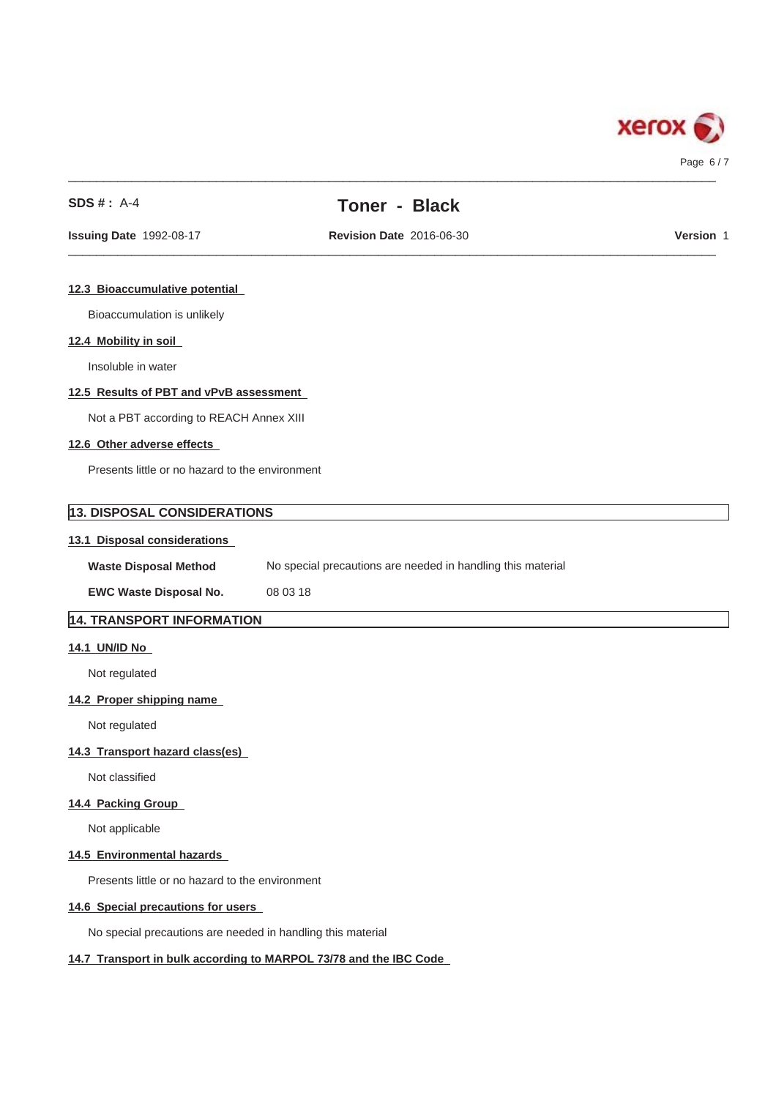

## **SDS # :** A-4 **Toner - Black**

 $\_$  ,  $\_$  ,  $\_$  ,  $\_$  ,  $\_$  ,  $\_$  ,  $\_$  ,  $\_$  ,  $\_$  ,  $\_$  ,  $\_$  ,  $\_$  ,  $\_$  ,  $\_$  ,  $\_$  ,  $\_$  ,  $\_$  ,  $\_$  ,  $\_$  ,  $\_$  ,  $\_$  ,  $\_$  ,  $\_$  ,  $\_$  ,  $\_$  ,  $\_$  ,  $\_$  ,  $\_$  ,  $\_$  ,  $\_$  ,  $\_$  ,  $\_$  ,  $\_$  ,  $\_$  ,  $\_$  ,  $\_$  ,  $\_$  ,

#### $\_$  ,  $\_$  ,  $\_$  ,  $\_$  ,  $\_$  ,  $\_$  ,  $\_$  ,  $\_$  ,  $\_$  ,  $\_$  ,  $\_$  ,  $\_$  ,  $\_$  ,  $\_$  ,  $\_$  ,  $\_$  ,  $\_$  ,  $\_$  ,  $\_$  ,  $\_$  ,  $\_$  ,  $\_$  ,  $\_$  ,  $\_$  ,  $\_$  ,  $\_$  ,  $\_$  ,  $\_$  ,  $\_$  ,  $\_$  ,  $\_$  ,  $\_$  ,  $\_$  ,  $\_$  ,  $\_$  ,  $\_$  ,  $\_$  , **Issuing Date** 1992-08-17 **Revision Date** 2016-06-30 **Version** 1

#### **12.3 Bioaccumulative potential**

Bioaccumulation is unlikely

#### **12.4 Mobility in soil**

Insoluble in water

#### **12.5 Results of PBT and vPvB assessment**

Not a PBT according to REACH Annex XIII

#### **12.6 Other adverse effects**

Presents little or no hazard to the environment

### **13. DISPOSAL CONSIDERATIONS**

#### **13.1 Disposal considerations**

| <b>Waste Disposal Method</b> | No special precautions are needed in handling this material |
|------------------------------|-------------------------------------------------------------|
|                              |                                                             |

**EWC Waste Disposal No.** 08 03 18

## **14. TRANSPORT INFORMATION**

#### **14.1 UN/ID No**

Not regulated

#### **14.2 Proper shipping name**

Not regulated

### **14.3 Transport hazard class(es)**

Not classified

#### **14.4 Packing Group**

Not applicable

#### **14.5 Environmental hazards**

Presents little or no hazard to the environment

#### **14.6 Special precautions for users**

No special precautions are needed in handling this material

#### **14.7 Transport in bulk according to MARPOL 73/78 and the IBC Code**